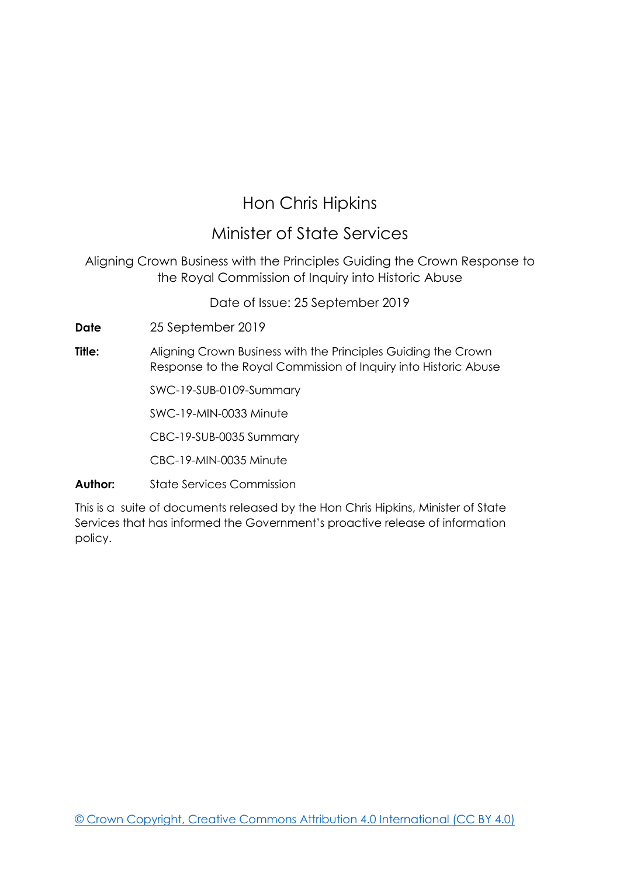# Hon Chris Hipkins

# Minister of State Services

Aligning Crown Business with the Principles Guiding the Crown Response to the Royal Commission of Inquiry into Historic Abuse

Date of Issue: 25 September 2019

**Date** 25 September 2019

- **Title:** Aligning Crown Business with the Principles Guiding the Crown Response to the Royal Commission of Inquiry into Historic Abuse
	- SWC-19-SUB-0109-Summary
	- SWC-19-MIN-0033 Minute
	- CBC-19-SUB-0035 Summary
	- CBC-19-MIN-0035 Minute
- **Author:** State Services Commission

This is a suite of documents released by the Hon Chris Hipkins, Minister of State Services that has informed the Government's proactive release of information policy.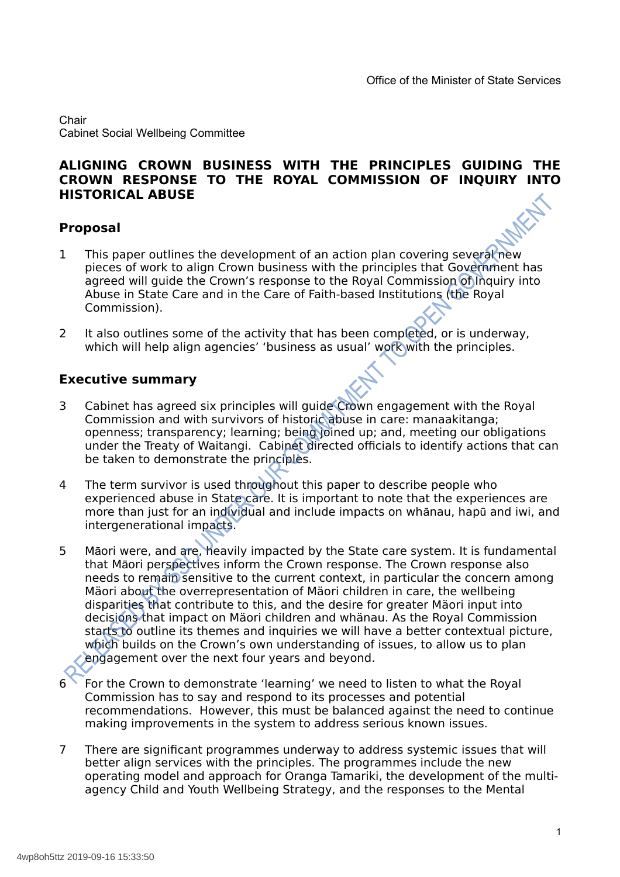**Chair** Cabinet Social Wellbeing Committee

#### **ALIGNING CROWN BUSINESS WITH THE PRINCIPLES GUIDING THE CROWN RESPONSE TO THE ROYAL COMMISSION OF INQUIRY INTO HISTORICAL ABUSE**

#### **Proposal**

- 1 This paper outlines the development of an action plan covering several new pieces of work to align Crown business with the principles that Government has agreed will quide the Crown's response to the Royal Commission of Inquiry into Abuse in State Care and in the Care of Faith-based Institutions (the Royal Commission).
- 2 It also outlines some of the activity that has been completed, or is underway, which will help align agencies' 'business as usual' work with the principles.

#### **Executive summary**

- 3 Cabinet has agreed six principles will guide Crown engagement with the Royal Commission and with survivors of historic abuse in care: manaakitanga; openness; transparency; learning; being joined up; and, meeting our obligations under the Treaty of Waitangi. Cabinet directed officials to identify actions that can be taken to demonstrate the principles.
- 4 The term survivor is used throughout this paper to describe people who experienced abuse in State care. It is important to note that the experiences are more than just for an individual and include impacts on whānau, hapū and iwi, and intergenerational impacts.
- 5 Māori were, and are, heavily impacted by the State care system. It is fundamental that Māori perspectives inform the Crown response. The Crown response also needs to remain sensitive to the current context, in particular the concern among Mäori about the overrepresentation of Mäori children in care, the wellbeing disparities that contribute to this, and the desire for greater Mäori input into decisions that impact on Mäori children and whänau. As the Royal Commission starts to outline its themes and inquiries we will have a better contextual picture, which builds on the Crown's own understanding of issues, to allow us to plan engagement over the next four years and beyond.
- 6 For the Crown to demonstrate 'learning' we need to listen to what the Royal Commission has to say and respond to its processes and potential recommendations. However, this must be balanced against the need to continue making improvements in the system to address serious known issues.
- 7 There are significant programmes underway to address systemic issues that will better align services with the principles. The programmes include the new operating model and approach for Oranga Tamariki, the development of the multiagency Child and Youth Wellbeing Strategy, and the responses to the Mental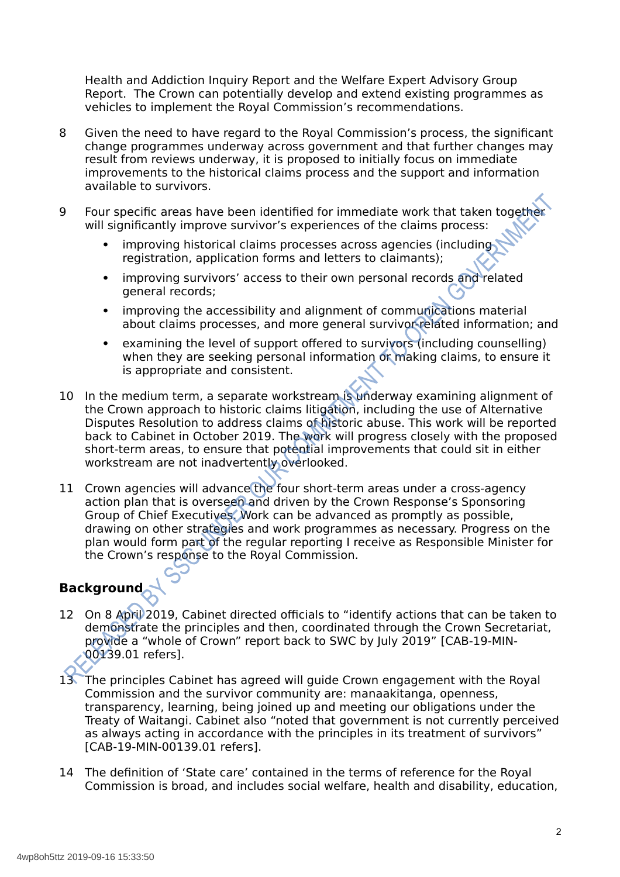Health and Addiction Inquiry Report and the Welfare Expert Advisory Group Report. The Crown can potentially develop and extend existing programmes as vehicles to implement the Royal Commission's recommendations.

- 8 Given the need to have regard to the Royal Commission's process, the significant change programmes underway across government and that further changes may result from reviews underway, it is proposed to initially focus on immediate improvements to the historical claims process and the support and information available to survivors.
- 9 Four specific areas have been identified for immediate work that taken together will significantly improve survivor's experiences of the claims process:
	- improving historical claims processes across agencies (includingregistration, application forms and letters to claimants);
	- improving survivors' access to their own personal records and related general records;
	- improving the accessibility and alignment of communications material about claims processes, and more general survivor-related information; and
	- examining the level of support offered to survivors (including counselling) when they are seeking personal information or making claims, to ensure it is appropriate and consistent.
- 10 In the medium term, a separate workstream is underway examining alignment of the Crown approach to historic claims litigation, including the use of Alternative Disputes Resolution to address claims of historic abuse. This work will be reported back to Cabinet in October 2019. The work will progress closely with the proposed short-term areas, to ensure that potential improvements that could sit in either workstream are not inadvertently overlooked.
- 11 Crown agencies will advance the four short-term areas under a cross-agency action plan that is overseen and driven by the Crown Response's Sponsoring Group of Chief Executives. Work can be advanced as promptly as possible, drawing on other strategies and work programmes as necessary. Progress on the plan would form part of the regular reporting I receive as Responsible Minister for the Crown's response to the Royal Commission.

#### **Background**

- 12 On 8 April 2019, Cabinet directed officials to "identify actions that can be taken to demonstrate the principles and then, coordinated through the Crown Secretariat, provide a "whole of Crown" report back to SWC by July 2019" [CAB-19-MIN-00139.01 refers].
- 13 The principles Cabinet has agreed will guide Crown engagement with the Royal Commission and the survivor community are: manaakitanga, openness, transparency, learning, being joined up and meeting our obligations under the Treaty of Waitangi. Cabinet also "noted that government is not currently perceived as always acting in accordance with the principles in its treatment of survivors" [CAB-19-MIN-00139.01 refers].
- 14 The definition of 'State care' contained in the terms of reference for the Royal Commission is broad, and includes social welfare, health and disability, education,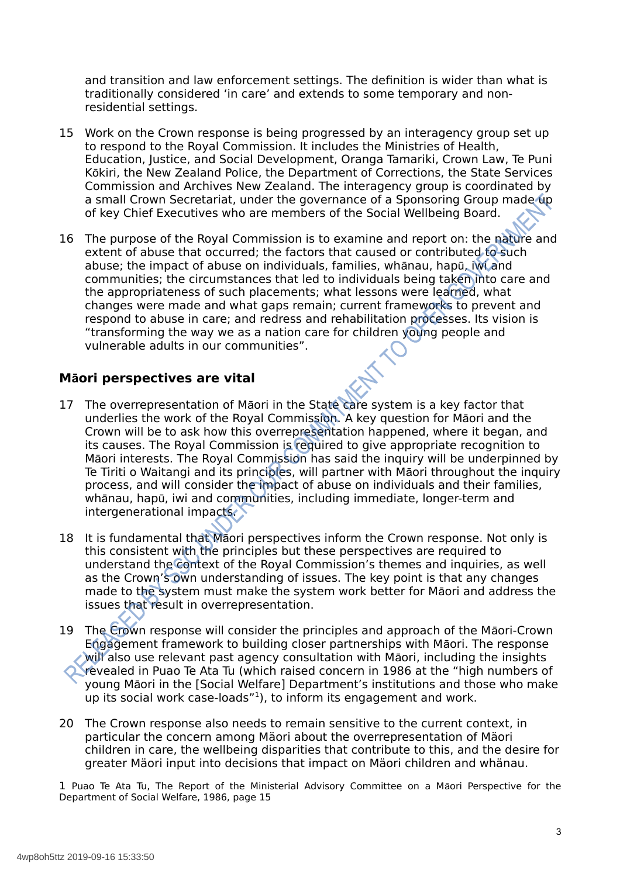and transition and law enforcement settings. The definition is wider than what is traditionally considered 'in care' and extends to some temporary and nonresidential settings.

- 15 Work on the Crown response is being progressed by an interagency group set up to respond to the Royal Commission. It includes the Ministries of Health, Education, Justice, and Social Development, Oranga Tamariki, Crown Law, Te Puni Kōkiri, the New Zealand Police, the Department of Corrections, the State Services Commission and Archives New Zealand. The interagency group is coordinated by a small Crown Secretariat, under the governance of a Sponsoring Group made up of key Chief Executives who are members of the Social Wellbeing Board.
- 16 The purpose of the Royal Commission is to examine and report on: the nature and extent of abuse that occurred; the factors that caused or contributed to such abuse; the impact of abuse on individuals, families, whānau, hapū, iwi and communities; the circumstances that led to individuals being taken into care and the appropriateness of such placements; what lessons were learned, what changes were made and what gaps remain; current frameworks to prevent and respond to abuse in care; and redress and rehabilitation processes. Its vision is "transforming the way we as a nation care for children young people and vulnerable adults in our communities".

#### **Māori perspectives are vital**

- 17 The overrepresentation of Māori in the State care system is a key factor that underlies the work of the Royal Commission. A key question for Māori and the Crown will be to ask how this overrepresentation happened, where it began, and its causes. The Royal Commission is required to give appropriate recognition to Māori interests. The Royal Commission has said the inquiry will be underpinned by Te Tiriti o Waitangi and its principles, will partner with Māori throughout the inquiry process, and will consider the impact of abuse on individuals and their families, whānau, hapū, iwi and communities, including immediate, longer-term and intergenerational impacts.
- 18 It is fundamental that Māori perspectives inform the Crown response. Not only is this consistent with the principles but these perspectives are required to understand the context of the Royal Commission's themes and inquiries, as well as the Crown's own understanding of issues. The key point is that any changes made to the system must make the system work better for Māori and address the issues that result in overrepresentation.
- 19 The Crown response will consider the principles and approach of the Māori-Crown Engagement framework to building closer partnerships with Māori. The response will also use relevant past agency consultation with Māori, including the insights revealed in Puao Te Ata Tu (which raised concern in 1986 at the "high numbers of young Māori in the [Social Welfare] Department's institutions and those who make up its social work case-loads"[1](#page-3-0) ), to inform its engagement and work.
- 20 The Crown response also needs to remain sensitive to the current context, in particular the concern among Mäori about the overrepresentation of Mäori children in care, the wellbeing disparities that contribute to this, and the desire for greater Mäori input into decisions that impact on Mäori children and whänau.

<span id="page-3-0"></span>1 Puao Te Ata Tu, The Report of the Ministerial Advisory Committee on a Māori Perspective for the Department of Social Welfare, 1986, page 15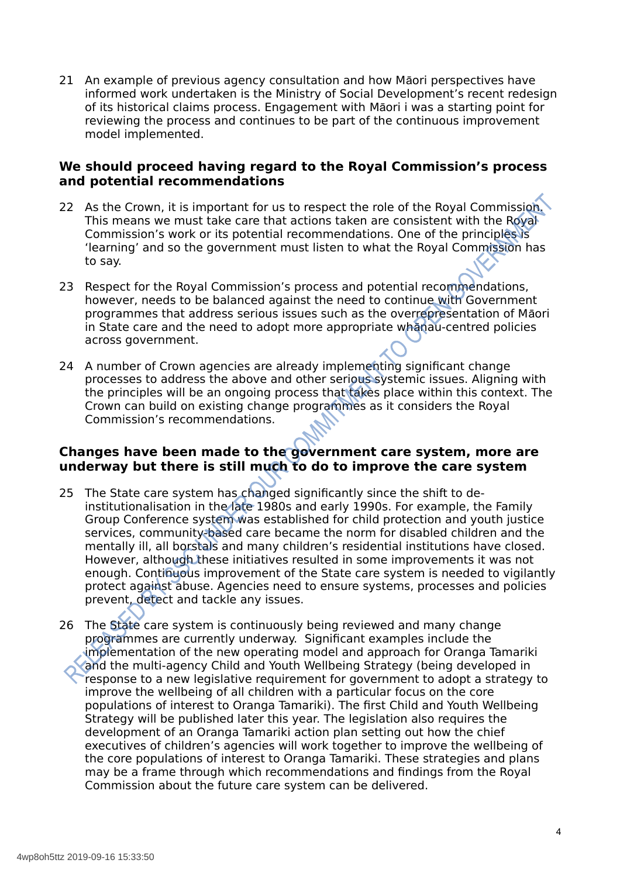21 An example of previous agency consultation and how Māori perspectives have informed work undertaken is the Ministry of Social Development's recent redesign of its historical claims process. Engagement with Māori i was a starting point for reviewing the process and continues to be part of the continuous improvement model implemented.

#### **We should proceed having regard to the Royal Commission's process and potential recommendations**

- 22 As the Crown, it is important for us to respect the role of the Royal Commission. This means we must take care that actions taken are consistent with the Royal Commission's work or its potential recommendations. One of the principles is 'learning' and so the government must listen to what the Royal Commission has to say.
- 23 Respect for the Royal Commission's process and potential recommendations, however, needs to be balanced against the need to continue with Government programmes that address serious issues such as the overrepresentation of Māori in State care and the need to adopt more appropriate whānau-centred policies across government.
- 24 A number of Crown agencies are already implementing significant change processes to address the above and other serious systemic issues. Aligning with the principles will be an ongoing process that takes place within this context. The Crown can build on existing change programmes as it considers the Royal Commission's recommendations.

#### **Changes have been made to the government care system, more are underway but there is still much to do to improve the care system**

- 25 The State care system has changed significantly since the shift to deinstitutionalisation in the late 1980s and early 1990s. For example, the Family Group Conference system was established for child protection and youth justice services, community-based care became the norm for disabled children and the mentally ill, all borstals and many children's residential institutions have closed. However, although these initiatives resulted in some improvements it was not enough. Continuous improvement of the State care system is needed to vigilantly protect against abuse. Agencies need to ensure systems, processes and policies prevent, detect and tackle any issues.
- 26 The State care system is continuously being reviewed and many change programmes are currently underway. Significant examples include the implementation of the new operating model and approach for Oranga Tamariki and the multi-agency Child and Youth Wellbeing Strategy (being developed in response to a new legislative requirement for government to adopt a strategy to improve the wellbeing of all children with a particular focus on the core populations of interest to Oranga Tamariki). The first Child and Youth Wellbeing Strategy will be published later this year. The legislation also requires the development of an Oranga Tamariki action plan setting out how the chief executives of children's agencies will work together to improve the wellbeing of the core populations of interest to Oranga Tamariki. These strategies and plans may be a frame through which recommendations and findings from the Royal Commission about the future care system can be delivered.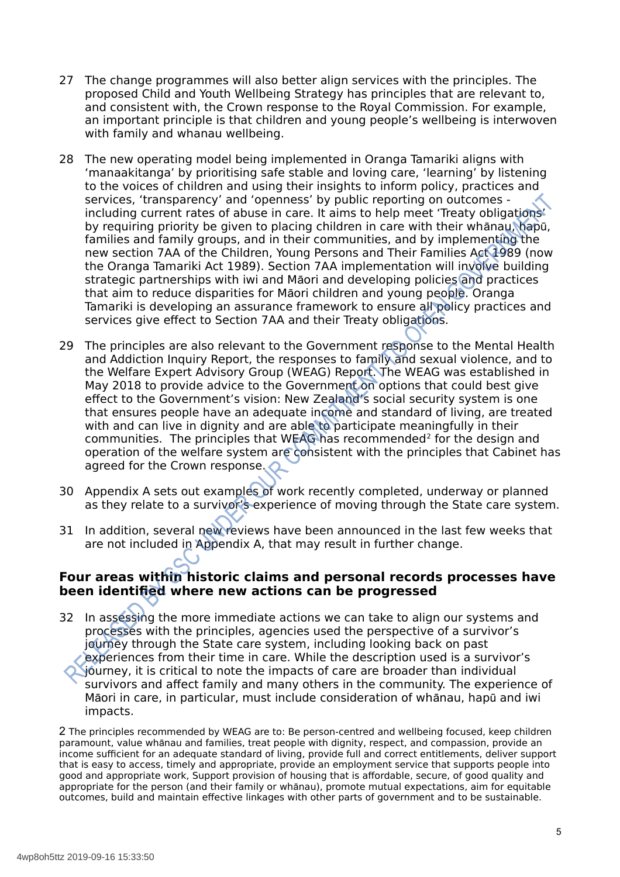- 27 The change programmes will also better align services with the principles. The proposed Child and Youth Wellbeing Strategy has principles that are relevant to, and consistent with, the Crown response to the Royal Commission. For example, an important principle is that children and young people's wellbeing is interwoven with family and whanau wellbeing.
- 28 The new operating model being implemented in Oranga Tamariki aligns with 'manaakitanga' by prioritising safe stable and loving care, 'learning' by listening to the voices of children and using their insights to inform policy, practices and services, 'transparency' and 'openness' by public reporting on outcomes including current rates of abuse in care. It aims to help meet 'Treaty obligations' by requiring priority be given to placing children in care with their whānau, hapū, families and family groups, and in their communities, and by implementing the new section 7AA of the Children, Young Persons and Their Families Act 1989 (now the Oranga Tamariki Act 1989). Section 7AA implementation will involve building strategic partnerships with iwi and Māori and developing policies and practices that aim to reduce disparities for Māori children and young people. Oranga Tamariki is developing an assurance framework to ensure all policy practices and services give effect to Section 7AA and their Treaty obligations.
- 29 The principles are also relevant to the Government response to the Mental Health and Addiction Inquiry Report, the responses to family and sexual violence, and to the Welfare Expert Advisory Group (WEAG) Report. The WEAG was established in May 2018 to provide advice to the Government on options that could best give effect to the Government's vision: New Zealand's social security system is one that ensures people have an adequate income and standard of living, are treated with and can live in dignity and are able to participate meaningfully in their communities. The principles that WEAG has recommended<sup>[2](#page-5-0)</sup> for the design and operation of the welfare system are consistent with the principles that Cabinet has agreed for the Crown response.
- 30 Appendix A sets out examples of work recently completed, underway or planned as they relate to a survivor's experience of moving through the State care system.
- 31 In addition, several new reviews have been announced in the last few weeks that are not included in Appendix A, that may result in further change.

#### **Four areas within historic claims and personal records processes have been identified where new actions can be progressed**

32 In assessing the more immediate actions we can take to align our systems and processes with the principles, agencies used the perspective of a survivor's journey through the State care system, including looking back on past experiences from their time in care. While the description used is a survivor's journey, it is critical to note the impacts of care are broader than individual survivors and affect family and many others in the community. The experience of Māori in care, in particular, must include consideration of whānau, hapū and iwi impacts.

<span id="page-5-0"></span>2 The principles recommended by WEAG are to: Be person-centred and wellbeing focused, keep children paramount, value whānau and families, treat people with dignity, respect, and compassion, provide an income sufficient for an adequate standard of living, provide full and correct entitlements, deliver support that is easy to access, timely and appropriate, provide an employment service that supports people into good and appropriate work, Support provision of housing that is affordable, secure, of good quality and appropriate for the person (and their family or whānau), promote mutual expectations, aim for equitable outcomes, build and maintain effective linkages with other parts of government and to be sustainable.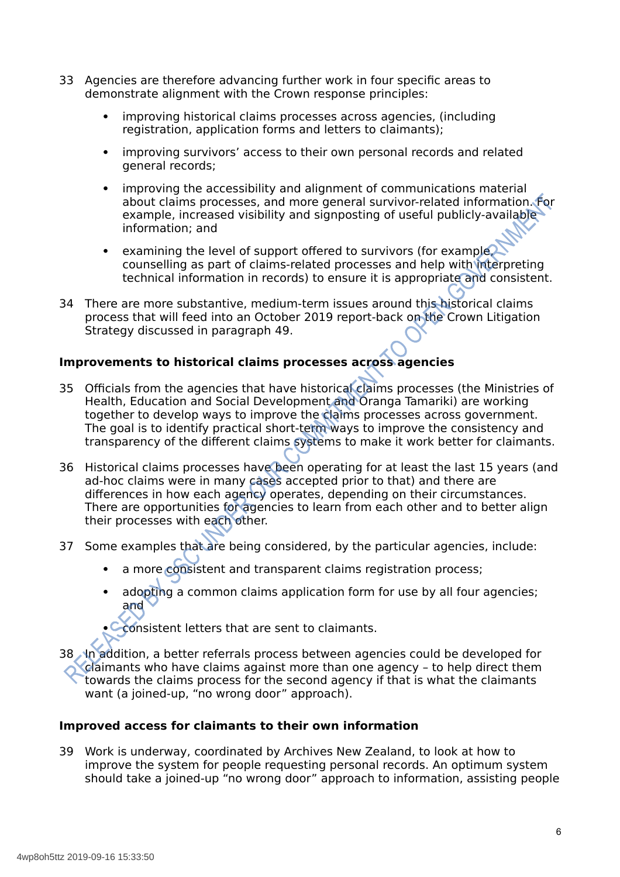- 33 Agencies are therefore advancing further work in four specific areas to demonstrate alignment with the Crown response principles:
	- improving historical claims processes across agencies, (including registration, application forms and letters to claimants);
	- improving survivors' access to their own personal records and related general records;
	- improving the accessibility and alignment of communications material about claims processes, and more general survivor-related information. For example, increased visibility and signposting of useful publicly-available information; and
	- examining the level of support offered to survivors (for example) counselling as part of claims-related processes and help with interpreting technical information in records) to ensure it is appropriate and consistent.
- 34 There are more substantive, medium-term issues around this historical claims process that will feed into an October 2019 report-back on the Crown Litigation Strategy discussed in paragraph [49.](#page-8-0)

#### **Improvements to historical claims processes across agencies**

- 35 Officials from the agencies that have historical claims processes (the Ministries of Health, Education and Social Development and Oranga Tamariki) are working together to develop ways to improve the claims processes across government. The goal is to identify practical short-term ways to improve the consistency and transparency of the different claims systems to make it work better for claimants.
- 36 Historical claims processes have been operating for at least the last 15 years (and ad-hoc claims were in many cases accepted prior to that) and there are differences in how each agency operates, depending on their circumstances. There are opportunities for agencies to learn from each other and to better align their processes with each other.
- 37 Some examples that are being considered, by the particular agencies, include:
	- a more consistent and transparent claims registration process;
	- adopting a common claims application form for use by all four agencies; and
	- Consistent letters that are sent to claimants.
- 38 In addition, a better referrals process between agencies could be developed for claimants who have claims against more than one agency – to help direct them towards the claims process for the second agency if that is what the claimants want (a joined-up, "no wrong door" approach).

#### **Improved access for claimants to their own information**

39 Work is underway, coordinated by Archives New Zealand, to look at how to improve the system for people requesting personal records. An optimum system should take a joined-up "no wrong door" approach to information, assisting people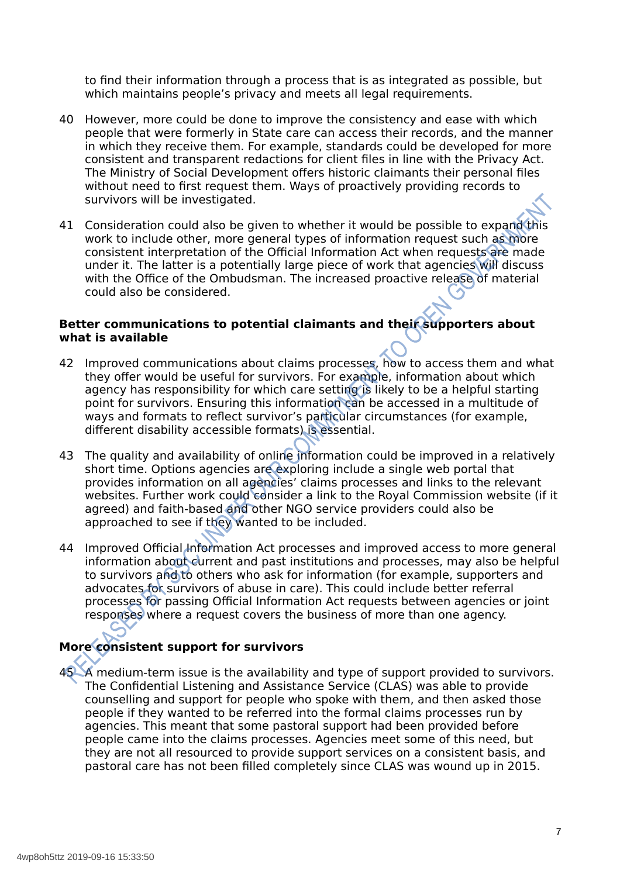to find their information through a process that is as integrated as possible, but which maintains people's privacy and meets all legal requirements.

- 40 However, more could be done to improve the consistency and ease with which people that were formerly in State care can access their records, and the manner in which they receive them. For example, standards could be developed for more consistent and transparent redactions for client files in line with the Privacy Act. The Ministry of Social Development offers historic claimants their personal files without need to first request them. Ways of proactively providing records to survivors will be investigated.
- 41 Consideration could also be given to whether it would be possible to expand this work to include other, more general types of information request such as more consistent interpretation of the Official Information Act when requests are made under it. The latter is a potentially large piece of work that agencies will discuss with the Office of the Ombudsman. The increased proactive release of material could also be considered.

#### **Better communications to potential claimants and their supporters about what is available**

- 42 Improved communications about claims processes, how to access them and what they offer would be useful for survivors. For example, information about which agency has responsibility for which care setting is likely to be a helpful starting point for survivors. Ensuring this information can be accessed in a multitude of ways and formats to reflect survivor's particular circumstances (for example, different disability accessible formats) is essential.
- 43 The quality and availability of online information could be improved in a relatively short time. Options agencies are exploring include a single web portal that provides information on all agencies' claims processes and links to the relevant websites. Further work could consider a link to the Royal Commission website (if it agreed) and faith-based and other NGO service providers could also be approached to see if they wanted to be included.
- 44 Improved Official Information Act processes and improved access to more general information about current and past institutions and processes, may also be helpful to survivors and to others who ask for information (for example, supporters and advocates for survivors of abuse in care). This could include better referral processes for passing Official Information Act requests between agencies or joint responses where a request covers the business of more than one agency.

#### **More consistent support for survivors**

A medium-term issue is the availability and type of support provided to survivors. The Confidential Listening and Assistance Service (CLAS) was able to provide counselling and support for people who spoke with them, and then asked those people if they wanted to be referred into the formal claims processes run by agencies. This meant that some pastoral support had been provided before people came into the claims processes. Agencies meet some of this need, but they are not all resourced to provide support services on a consistent basis, and pastoral care has not been filled completely since CLAS was wound up in 2015.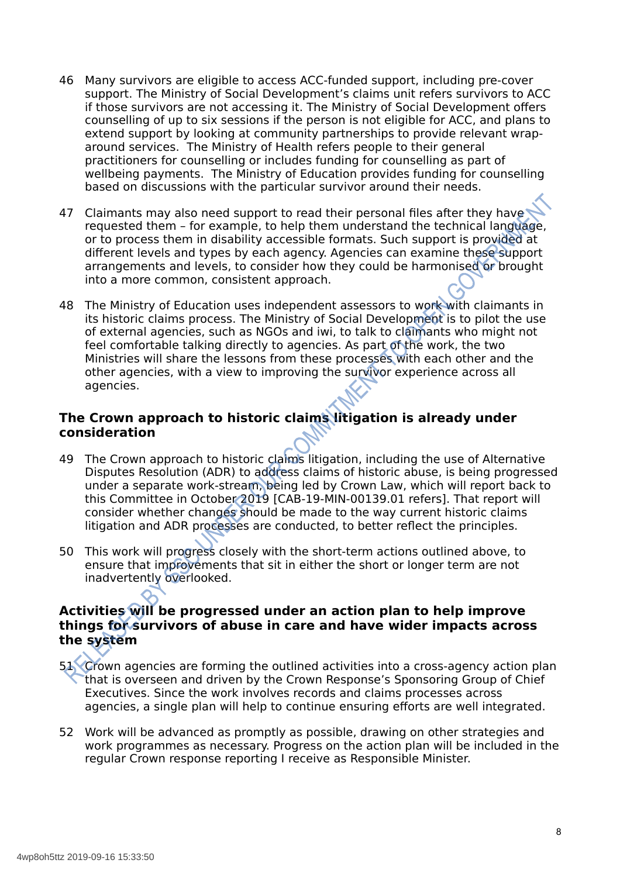- 46 Many survivors are eligible to access ACC-funded support, including pre-cover support. The Ministry of Social Development's claims unit refers survivors to ACC if those survivors are not accessing it. The Ministry of Social Development offers counselling of up to six sessions if the person is not eligible for ACC, and plans to extend support by looking at community partnerships to provide relevant wraparound services. The Ministry of Health refers people to their general practitioners for counselling or includes funding for counselling as part of wellbeing payments. The Ministry of Education provides funding for counselling based on discussions with the particular survivor around their needs.
- 47 Claimants may also need support to read their personal files after they have requested them – for example, to help them understand the technical language, or to process them in disability accessible formats. Such support is provided at different levels and types by each agency. Agencies can examine these support arrangements and levels, to consider how they could be harmonised or brought into a more common, consistent approach.
- 48 The Ministry of Education uses independent assessors to work with claimants in its historic claims process. The Ministry of Social Development is to pilot the use of external agencies, such as NGOs and iwi, to talk to claimants who might not feel comfortable talking directly to agencies. As part of the work, the two Ministries will share the lessons from these processes with each other and the other agencies, with a view to improving the survivor experience across all agencies.

#### **The Crown approach to historic claims litigation is already under consideration**

- <span id="page-8-0"></span>49 The Crown approach to historic claims litigation, including the use of Alternative Disputes Resolution (ADR) to address claims of historic abuse, is being progressed under a separate work-stream, being led by Crown Law, which will report back to this Committee in October 2019 [CAB-19-MIN-00139.01 refers]. That report will consider whether changes should be made to the way current historic claims litigation and ADR processes are conducted, to better reflect the principles.
- 50 This work will progress closely with the short-term actions outlined above, to ensure that improvements that sit in either the short or longer term are not inadvertently overlooked.

#### **Activities will be progressed under an action plan to help improve things for survivors of abuse in care and have wider impacts across the system**

- 51 Crown agencies are forming the outlined activities into a cross-agency action plan that is overseen and driven by the Crown Response's Sponsoring Group of Chief Executives. Since the work involves records and claims processes across agencies, a single plan will help to continue ensuring efforts are well integrated.
- 52 Work will be advanced as promptly as possible, drawing on other strategies and work programmes as necessary. Progress on the action plan will be included in the regular Crown response reporting I receive as Responsible Minister.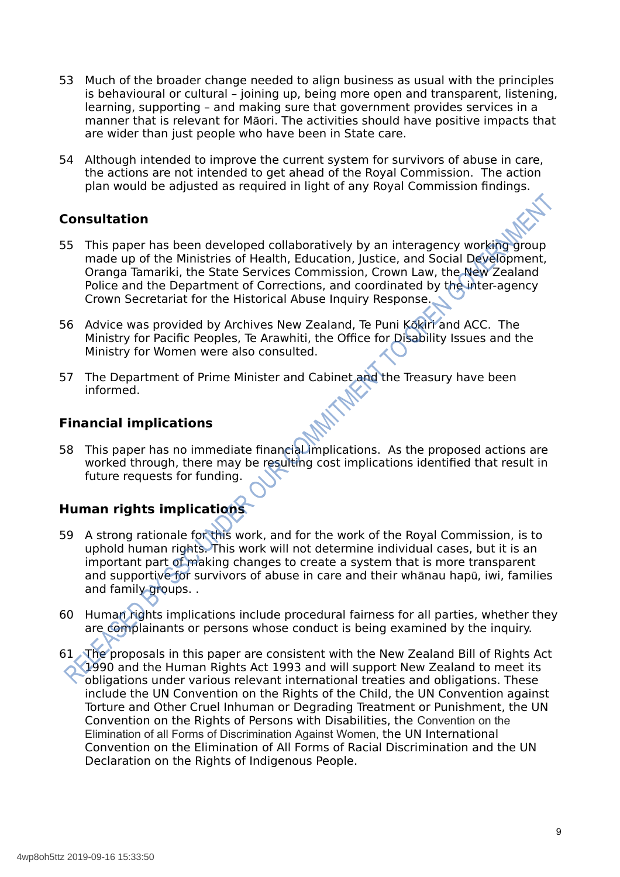- 53 Much of the broader change needed to align business as usual with the principles is behavioural or cultural – joining up, being more open and transparent, listening, learning, supporting – and making sure that government provides services in a manner that is relevant for Māori. The activities should have positive impacts that are wider than just people who have been in State care.
- 54 Although intended to improve the current system for survivors of abuse in care, the actions are not intended to get ahead of the Royal Commission. The action plan would be adjusted as required in light of any Royal Commission findings.

#### **Consultation**

- 55 This paper has been developed collaboratively by an interagency working group made up of the Ministries of Health, Education, Justice, and Social Development, Oranga Tamariki, the State Services Commission, Crown Law, the New Zealand Police and the Department of Corrections, and coordinated by the inter-agency Crown Secretariat for the Historical Abuse Inquiry Response.
- 56 Advice was provided by Archives New Zealand, Te Puni Kōkiri and ACC. The Ministry for Pacific Peoples, Te Arawhiti, the Office for Disability Issues and the Ministry for Women were also consulted.
- 57 The Department of Prime Minister and Cabinet and the Treasury have been informed.

#### **Financial implications**

58 This paper has no immediate financial implications. As the proposed actions are worked through, there may be resulting cost implications identified that result in future requests for funding.

#### **Human rights implications**

- 59 A strong rationale for this work, and for the work of the Royal Commission, is to uphold human rights. This work will not determine individual cases, but it is an important part of making changes to create a system that is more transparent and supportive for survivors of abuse in care and their whānau hapū, iwi, families and family groups.
- 60 Human rights implications include procedural fairness for all parties, whether they are complainants or persons whose conduct is being examined by the inquiry.
- 61 The proposals in this paper are consistent with the New Zealand Bill of Rights Act 1990 and the Human Rights Act 1993 and will support New Zealand to meet its obligations under various relevant international treaties and obligations. These include the UN Convention on the Rights of the Child, the UN Convention against Torture and Other Cruel Inhuman or Degrading Treatment or Punishment, the UN Convention on the Rights of Persons with Disabilities, the Convention on the Elimination of all Forms of Discrimination Against Women, the UN International Convention on the Elimination of All Forms of Racial Discrimination and the UN Declaration on the Rights of Indigenous People.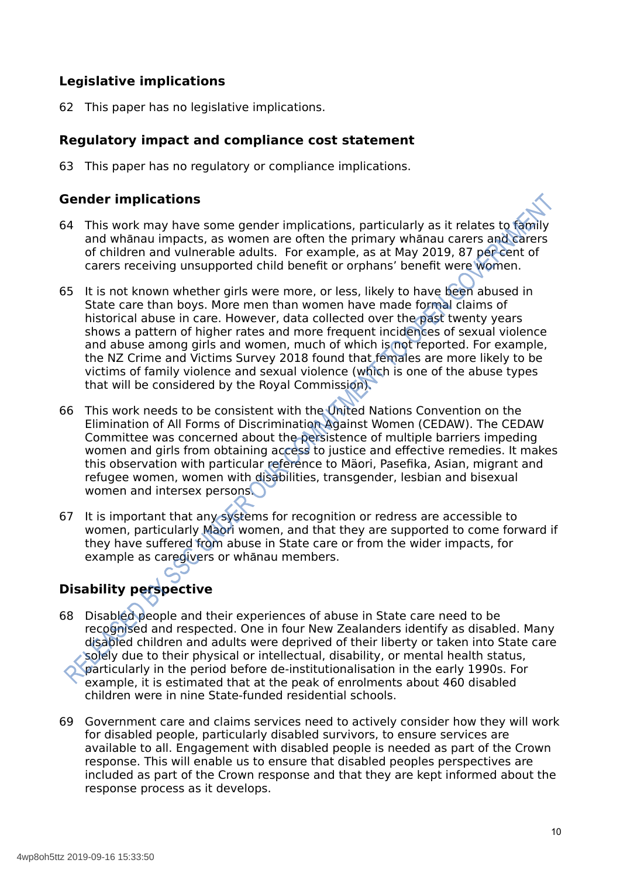#### **Legislative implications**

62 This paper has no legislative implications.

#### **Regulatory impact and compliance cost statement**

63 This paper has no regulatory or compliance implications.

#### **Gender implications**

- 64 This work may have some gender implications, particularly as it relates to family and whānau impacts, as women are often the primary whānau carers and carers of children and vulnerable adults. For example, as at May 2019, 87 per cent of carers receiving unsupported child benefit or orphans' benefit were women.
- 65 It is not known whether girls were more, or less, likely to have been abused in State care than boys. More men than women have made formal claims of historical abuse in care. However, data collected over the past twenty years shows a pattern of higher rates and more frequent incidences of sexual violence and abuse among girls and women, much of which is not reported. For example, the NZ Crime and Victims Survey 2018 found that females are more likely to be victims of family violence and sexual violence (which is one of the abuse types that will be considered by the Royal Commission).
- 66 This work needs to be consistent with the United Nations Convention on the Elimination of All Forms of Discrimination Against Women (CEDAW). The CEDAW Committee was concerned about the persistence of multiple barriers impeding women and girls from obtaining access to justice and effective remedies. It makes this observation with particular reference to Mäori, Pasefika, Asian, migrant and refugee women, women with disabilities, transgender, lesbian and bisexual women and intersex persons.
- 67 It is important that any systems for recognition or redress are accessible to women, particularly Maori women, and that they are supported to come forward if they have suffered from abuse in State care or from the wider impacts, for example as caregivers or whānau members.

## **Disability perspective**

- 68 Disabled people and their experiences of abuse in State care need to be recognised and respected. One in four New Zealanders identify as disabled. Many disabled children and adults were deprived of their liberty or taken into State care solely due to their physical or intellectual, disability, or mental health status, particularly in the period before de-institutionalisation in the early 1990s. For example, it is estimated that at the peak of enrolments about 460 disabled children were in nine State-funded residential schools.
- 69 Government care and claims services need to actively consider how they will work for disabled people, particularly disabled survivors, to ensure services are available to all. Engagement with disabled people is needed as part of the Crown response. This will enable us to ensure that disabled peoples perspectives are included as part of the Crown response and that they are kept informed about the response process as it develops.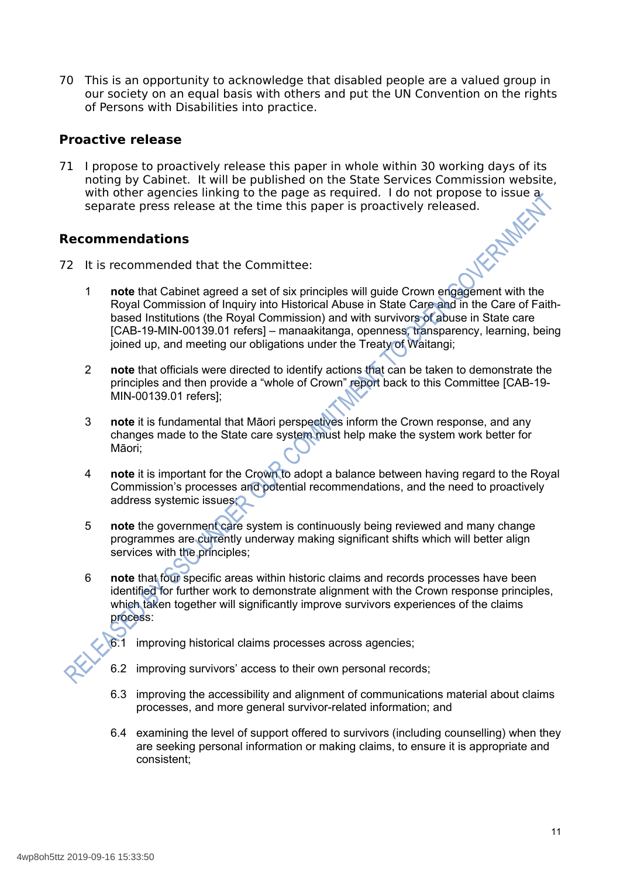70 This is an opportunity to acknowledge that disabled people are a valued group in our society on an equal basis with others and put the UN Convention on the rights of Persons with Disabilities into practice.

#### **Proactive release**

71 I propose to proactively release this paper in whole within 30 working days of its noting by Cabinet. It will be published on the State Services Commission website, with other agencies linking to the page as required. I do not propose to issue a separate press release at the time this paper is proactively released.<br> **Sommendations**<br>
It is recommended that the set of the set of the set of the set of the set of the set of the set of the set of the<br>
It is recommended

#### **Recommendations**

- <span id="page-11-0"></span>72 It is recommended that the Committee:
	- 1 **note** that Cabinet agreed a set of six principles will guide Crown engagement with the Royal Commission of Inquiry into Historical Abuse in State Care and in the Care of Faithbased Institutions (the Royal Commission) and with survivors of abuse in State care [CAB-19-MIN-00139.01 refers] – manaakitanga, openness, transparency, learning, being joined up, and meeting our obligations under the Treaty of Waitangi;
	- 2 **note** that officials were directed to identify actions that can be taken to demonstrate the principles and then provide a "whole of Crown" report back to this Committee [CAB-19- MIN-00139.01 refers];
	- 3 **note** it is fundamental that Māori perspectives inform the Crown response, and any changes made to the State care system must help make the system work better for Māori;
	- 4 **note** it is important for the Crown to adopt a balance between having regard to the Royal Commission's processes and potential recommendations, and the need to proactively address systemic issues;
	- 5 **note** the government care system is continuously being reviewed and many change programmes are currently underway making significant shifts which will better align services with the principles;
	- 6 **note** that four specific areas within historic claims and records processes have been identified for further work to demonstrate alignment with the Crown response principles, which taken together will significantly improve survivors experiences of the claims process:
		- 6.1 improving historical claims processes across agencies;
		- 6.2 improving survivors' access to their own personal records;
		- 6.3 improving the accessibility and alignment of communications material about claims processes, and more general survivor-related information; and
		- 6.4 examining the level of support offered to survivors (including counselling) when they are seeking personal information or making claims, to ensure it is appropriate and consistent;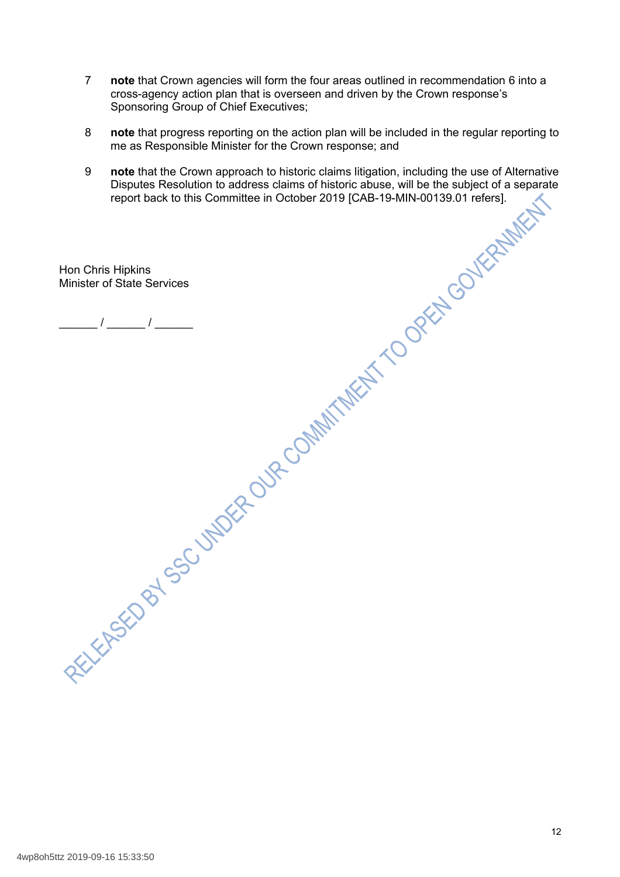- 7 **note** that Crown agencies will form the four areas outlined in recommendation [6](#page-11-0) into a cross-agency action plan that is overseen and driven by the Crown response's Sponsoring Group of Chief Executives;
- 8 **note** that progress reporting on the action plan will be included in the regular reporting to me as Responsible Minister for the Crown response; and
- 9 **note** that the Crown approach to historic claims litigation, including the use of Alternative Disputes Resolution to address claims of historic abuse, will be the subject of a separate report back to this Committee in October 2019 [CAB-19-MIN-00139.01 refers].

Hon Chris Hipkins Minister of State Services

 $\frac{1}{2}$  /  $\frac{1}{2}$  /  $\frac{1}{2}$  /  $\frac{1}{2}$  /  $\frac{1}{2}$  /  $\frac{1}{2}$  /  $\frac{1}{2}$  /  $\frac{1}{2}$  /  $\frac{1}{2}$  /  $\frac{1}{2}$  /  $\frac{1}{2}$  /  $\frac{1}{2}$  /  $\frac{1}{2}$  /  $\frac{1}{2}$  /  $\frac{1}{2}$  /  $\frac{1}{2}$  /  $\frac{1}{2}$  /  $\frac{1}{2}$  /  $\frac{1$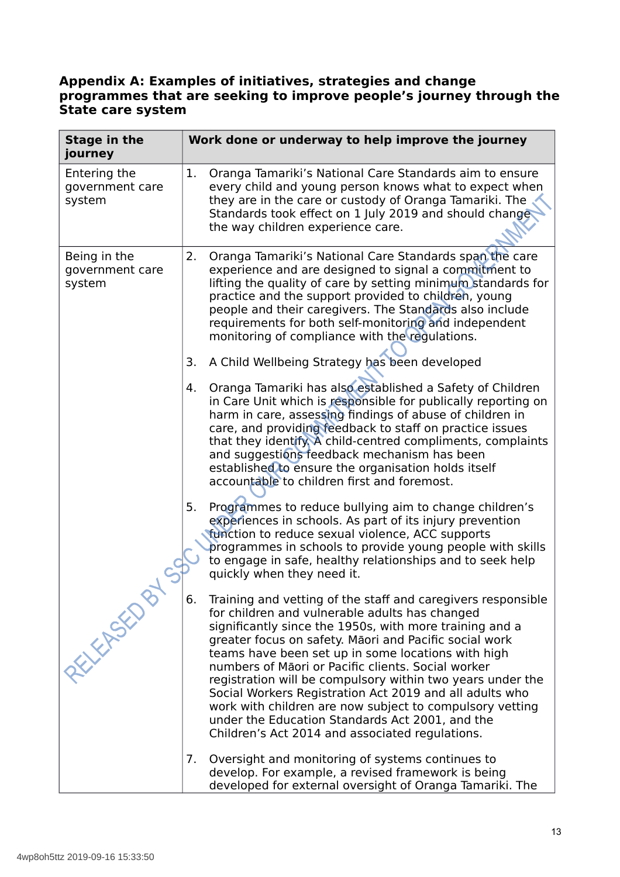#### **Appendix A: Examples of initiatives, strategies and change programmes that are seeking to improve people's journey through the State care system**

| <b>Stage in the</b><br>journey            | Work done or underway to help improve the journey                                                                                                                                                                                                                                                                                                                                                                                                                                                                                                                                                                                                |
|-------------------------------------------|--------------------------------------------------------------------------------------------------------------------------------------------------------------------------------------------------------------------------------------------------------------------------------------------------------------------------------------------------------------------------------------------------------------------------------------------------------------------------------------------------------------------------------------------------------------------------------------------------------------------------------------------------|
| Entering the<br>government care<br>system | 1.<br>Oranga Tamariki's National Care Standards aim to ensure<br>every child and young person knows what to expect when<br>they are in the care or custody of Oranga Tamariki. The<br>Standards took effect on 1 July 2019 and should change<br>the way children experience care.                                                                                                                                                                                                                                                                                                                                                                |
| Being in the<br>government care<br>system | Oranga Tamariki's National Care Standards span the care<br>2.<br>experience and are designed to signal a commitment to<br>lifting the quality of care by setting minimum standards for<br>practice and the support provided to children, young<br>people and their caregivers. The Standards also include<br>requirements for both self-monitoring and independent<br>monitoring of compliance with the regulations.                                                                                                                                                                                                                             |
|                                           | A Child Wellbeing Strategy has been developed<br>3.                                                                                                                                                                                                                                                                                                                                                                                                                                                                                                                                                                                              |
|                                           | Oranga Tamariki has also established a Safety of Children<br>4.<br>in Care Unit which is responsible for publically reporting on<br>harm in care, assessing findings of abuse of children in<br>care, and providing feedback to staff on practice issues<br>that they identify A child-centred compliments, complaints<br>and suggestions feedback mechanism has been<br>established to ensure the organisation holds itself<br>accountable to children first and foremost.                                                                                                                                                                      |
|                                           | Programmes to reduce bullying aim to change children's<br>5.<br>experiences in schools. As part of its injury prevention<br>function to reduce sexual violence, ACC supports<br>programmes in schools to provide young people with skills<br>to engage in safe, healthy relationships and to seek help<br>quickly when they need it.                                                                                                                                                                                                                                                                                                             |
| NEW YORK B                                | Training and vetting of the staff and caregivers responsible<br>6.<br>for children and vulnerable adults has changed<br>significantly since the 1950s, with more training and a<br>greater focus on safety. Māori and Pacific social work<br>teams have been set up in some locations with high<br>numbers of Māori or Pacific clients. Social worker<br>registration will be compulsory within two years under the<br>Social Workers Registration Act 2019 and all adults who<br>work with children are now subject to compulsory vetting<br>under the Education Standards Act 2001, and the<br>Children's Act 2014 and associated regulations. |
|                                           | 7.<br>Oversight and monitoring of systems continues to<br>develop. For example, a revised framework is being<br>developed for external oversight of Oranga Tamariki. The                                                                                                                                                                                                                                                                                                                                                                                                                                                                         |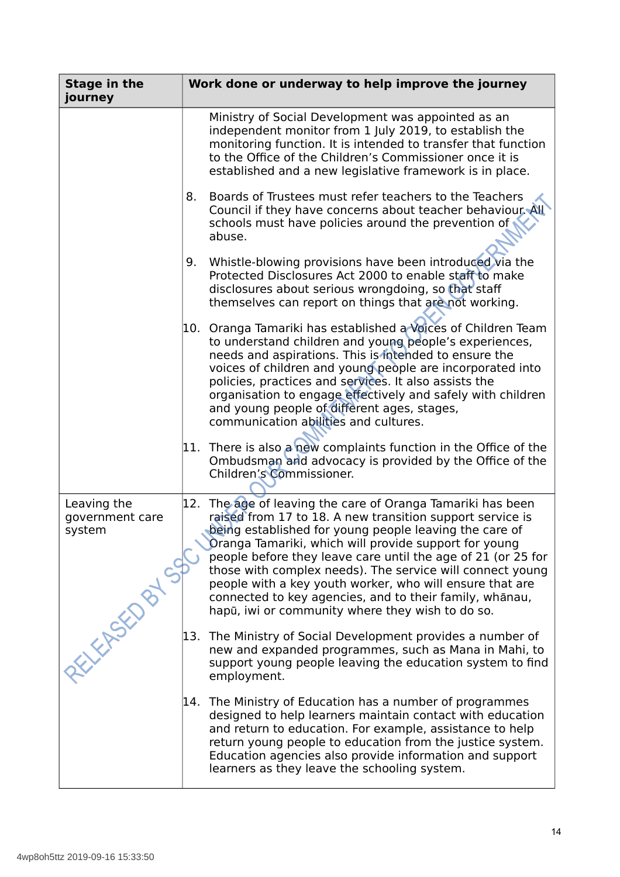| Stage in the<br>journey                                         | Work done or underway to help improve the journey                                                                                                                                                                                                                                                                                                                                                                                                                                                                                                   |
|-----------------------------------------------------------------|-----------------------------------------------------------------------------------------------------------------------------------------------------------------------------------------------------------------------------------------------------------------------------------------------------------------------------------------------------------------------------------------------------------------------------------------------------------------------------------------------------------------------------------------------------|
|                                                                 | Ministry of Social Development was appointed as an<br>independent monitor from 1 July 2019, to establish the<br>monitoring function. It is intended to transfer that function<br>to the Office of the Children's Commissioner once it is<br>established and a new legislative framework is in place.                                                                                                                                                                                                                                                |
|                                                                 | Boards of Trustees must refer teachers to the Teachers<br>8.<br>Council if they have concerns about teacher behaviour. All<br>schools must have policies around the prevention of<br>abuse.                                                                                                                                                                                                                                                                                                                                                         |
|                                                                 | Whistle-blowing provisions have been introduced via the<br>9.<br>Protected Disclosures Act 2000 to enable staff to make<br>disclosures about serious wrongdoing, so that staff<br>themselves can report on things that are not working.                                                                                                                                                                                                                                                                                                             |
|                                                                 | 10. Oranga Tamariki has established a Voices of Children Team<br>to understand children and young people's experiences,<br>needs and aspirations. This is intended to ensure the<br>voices of children and young people are incorporated into<br>policies, practices and services. It also assists the<br>organisation to engage effectively and safely with children<br>and young people of different ages, stages,<br>communication abilities and cultures.                                                                                       |
|                                                                 | 11. There is also a new complaints function in the Office of the<br>Ombudsman and advocacy is provided by the Office of the<br>Children's Commissioner.                                                                                                                                                                                                                                                                                                                                                                                             |
| Leaving the<br>government care<br>system<br><b>RELEASED BY:</b> | 12. The age of leaving the care of Oranga Tamariki has been<br>raised from 17 to 18. A new transition support service is<br>being established for young people leaving the care of<br>Oranga Tamariki, which will provide support for young<br>people before they leave care until the age of 21 (or 25 for<br>those with complex needs). The service will connect young<br>people with a key youth worker, who will ensure that are<br>connected to key agencies, and to their family, whanau,<br>hapū, iwi or community where they wish to do so. |
|                                                                 | 13. The Ministry of Social Development provides a number of<br>new and expanded programmes, such as Mana in Mahi, to<br>support young people leaving the education system to find<br>employment.                                                                                                                                                                                                                                                                                                                                                    |
|                                                                 | The Ministry of Education has a number of programmes<br>14.<br>designed to help learners maintain contact with education<br>and return to education. For example, assistance to help<br>return young people to education from the justice system.<br>Education agencies also provide information and support<br>learners as they leave the schooling system.                                                                                                                                                                                        |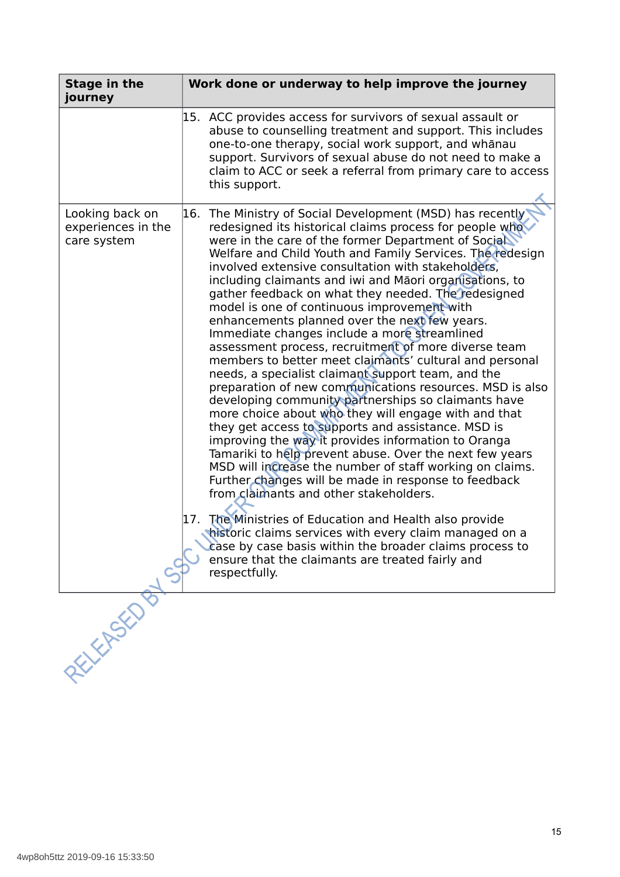| <b>Stage in the</b><br>journey                       | Work done or underway to help improve the journey                                                                                                                                                                                                                                                                                                                                                                                                                                                                                                                                                                                                                                                                                                                                                                                                                                                                                                                                                                                                                                                                                                                                                                                                                                                                                                                                                                                                                                                               |
|------------------------------------------------------|-----------------------------------------------------------------------------------------------------------------------------------------------------------------------------------------------------------------------------------------------------------------------------------------------------------------------------------------------------------------------------------------------------------------------------------------------------------------------------------------------------------------------------------------------------------------------------------------------------------------------------------------------------------------------------------------------------------------------------------------------------------------------------------------------------------------------------------------------------------------------------------------------------------------------------------------------------------------------------------------------------------------------------------------------------------------------------------------------------------------------------------------------------------------------------------------------------------------------------------------------------------------------------------------------------------------------------------------------------------------------------------------------------------------------------------------------------------------------------------------------------------------|
|                                                      | 15. ACC provides access for survivors of sexual assault or<br>abuse to counselling treatment and support. This includes<br>one-to-one therapy, social work support, and whanau<br>support. Survivors of sexual abuse do not need to make a<br>claim to ACC or seek a referral from primary care to access<br>this support.                                                                                                                                                                                                                                                                                                                                                                                                                                                                                                                                                                                                                                                                                                                                                                                                                                                                                                                                                                                                                                                                                                                                                                                      |
| Looking back on<br>experiences in the<br>care system | 16. The Ministry of Social Development (MSD) has recently<br>redesigned its historical claims process for people who<br>were in the care of the former Department of Social<br>Welfare and Child Youth and Family Services. The redesign<br>involved extensive consultation with stakeholders,<br>including claimants and iwi and Māori organisations, to<br>gather feedback on what they needed. The redesigned<br>model is one of continuous improvement with<br>enhancements planned over the next few years.<br>Immediate changes include a more streamlined<br>assessment process, recruitment of more diverse team<br>members to better meet claimants' cultural and personal<br>needs, a specialist claimant support team, and the<br>preparation of new communications resources. MSD is also<br>developing community partnerships so claimants have<br>more choice about who they will engage with and that<br>they get access to supports and assistance. MSD is<br>improving the way it provides information to Oranga<br>Tamariki to help prevent abuse. Over the next few years<br>MSD will increase the number of staff working on claims.<br>Further changes will be made in response to feedback<br>from claimants and other stakeholders.<br>17. The Ministries of Education and Health also provide<br>historic claims services with every claim managed on a<br>case by case basis within the broader claims process to<br>ensure that the claimants are treated fairly and<br>respectfully. |
| RELEASED BY                                          |                                                                                                                                                                                                                                                                                                                                                                                                                                                                                                                                                                                                                                                                                                                                                                                                                                                                                                                                                                                                                                                                                                                                                                                                                                                                                                                                                                                                                                                                                                                 |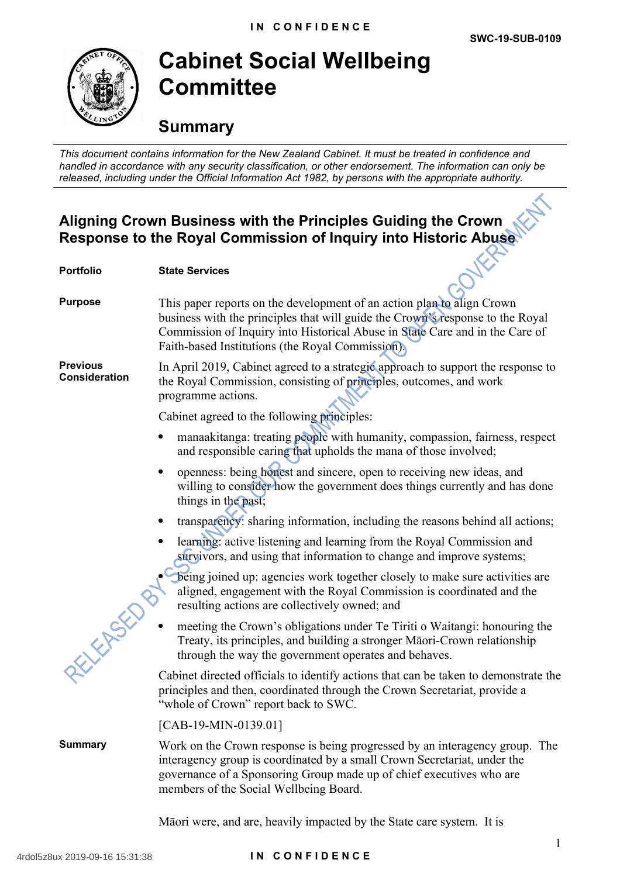

**Cabinet Social Wellbeing Committee**

**Summary**

*This document contains information for the New Zealand Cabinet. It must be treated in confidence and handled in accordance with any security classification, or other endorsement. The information can only be released, including under the Official Information Act 1982, by persons with the appropriate authority.*

#### **Aligning Crown Business with the Principles Guiding the Crown Response to the Royal Commission of Inquiry into Historic Abuse**

| <b>Portfolio</b>                        | <b>State Services</b>                                                                                                                                                                                                                                                                        |
|-----------------------------------------|----------------------------------------------------------------------------------------------------------------------------------------------------------------------------------------------------------------------------------------------------------------------------------------------|
| <b>Purpose</b>                          | This paper reports on the development of an action plan to align Crown<br>business with the principles that will guide the Crown's response to the Royal<br>Commission of Inquiry into Historical Abuse in State Care and in the Care of<br>Faith-based Institutions (the Royal Commission). |
| <b>Previous</b><br><b>Consideration</b> | In April 2019, Cabinet agreed to a strategic approach to support the response to<br>the Royal Commission, consisting of principles, outcomes, and work<br>programme actions.                                                                                                                 |
|                                         | Cabinet agreed to the following principles:                                                                                                                                                                                                                                                  |
|                                         | manaakitanga: treating people with humanity, compassion, fairness, respect<br>and responsible caring that upholds the mana of those involved;                                                                                                                                                |
|                                         | openness: being honest and sincere, open to receiving new ideas, and<br>willing to consider how the government does things currently and has done<br>things in the past;                                                                                                                     |
|                                         | transparency: sharing information, including the reasons behind all actions;                                                                                                                                                                                                                 |
|                                         | learning: active listening and learning from the Royal Commission and<br>survivors, and using that information to change and improve systems;                                                                                                                                                |
|                                         | being joined up: agencies work together closely to make sure activities are<br>aligned, engagement with the Royal Commission is coordinated and the<br>resulting actions are collectively owned; and                                                                                         |
| <b>RELEASED</b>                         | meeting the Crown's obligations under Te Tiriti o Waitangi: honouring the<br>Treaty, its principles, and building a stronger Māori-Crown relationship<br>through the way the government operates and behaves.                                                                                |
|                                         | Cabinet directed officials to identify actions that can be taken to demonstrate the<br>principles and then, coordinated through the Crown Secretariat, provide a<br>"whole of Crown" report back to SWC.                                                                                     |
|                                         | $[CAB-19-MIN-0139.01]$                                                                                                                                                                                                                                                                       |
| <b>Summary</b>                          | Work on the Crown response is being progressed by an interagency group. The<br>interagency group is coordinated by a small Crown Secretariat, under the<br>governance of a Sponsoring Group made up of chief executives who are<br>members of the Social Wellbeing Board.                    |
|                                         | Māori were, and are, heavily impacted by the State care system. It is                                                                                                                                                                                                                        |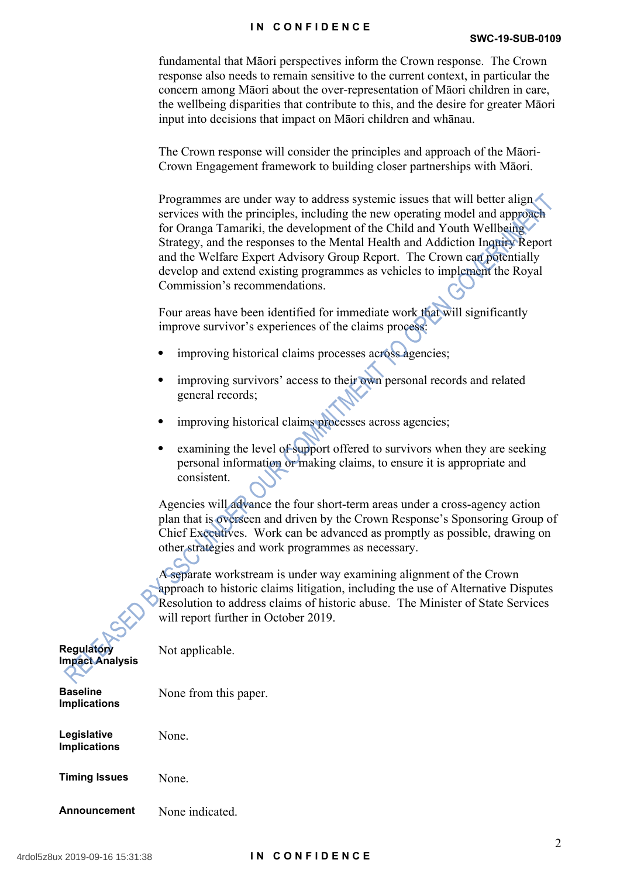#### **IN CONFIDENCE**

fundamental that Māori perspectives inform the Crown response. The Crown response also needs to remain sensitive to the current context, in particular the concern among Māori about the over-representation of Māori children in care, the wellbeing disparities that contribute to this, and the desire for greater Māori input into decisions that impact on Māori children and whānau.

The Crown response will consider the principles and approach of the Māori-Crown Engagement framework to building closer partnerships with Māori.

Programmes are under way to address systemic issues that will better align services with the principles, including the new operating model and approach for Oranga Tamariki, the development of the Child and Youth Wellbeing Strategy, and the responses to the Mental Health and Addiction Inquiry Report and the Welfare Expert Advisory Group Report. The Crown can potentially develop and extend existing programmes as vehicles to implement the Royal Commission's recommendations.

Four areas have been identified for immediate work that will significantly improve survivor's experiences of the claims process:

- improving historical claims processes across agencies;
- improving survivors' access to their own personal records and related general records;
- improving historical claims processes across agencies;
- examining the level of support offered to survivors when they are seeking personal information or making claims, to ensure it is appropriate and consistent.

Agencies will advance the four short-term areas under a cross-agency action plan that is overseen and driven by the Crown Response's Sponsoring Group of Chief Executives. Work can be advanced as promptly as possible, drawing on other strategies and work programmes as necessary.

A separate workstream is under way examining alignment of the Crown approach to historic claims litigation, including the use of Alternative Disputes Resolution to address claims of historic abuse. The Minister of State Services will report further in October 2019.



Not applicable.

 $\mathcal C$ 

**Baseline Implications** None from this paper.

**Legislative Implications** None.

**Timing Issues** None.

**Announcement** None indicated.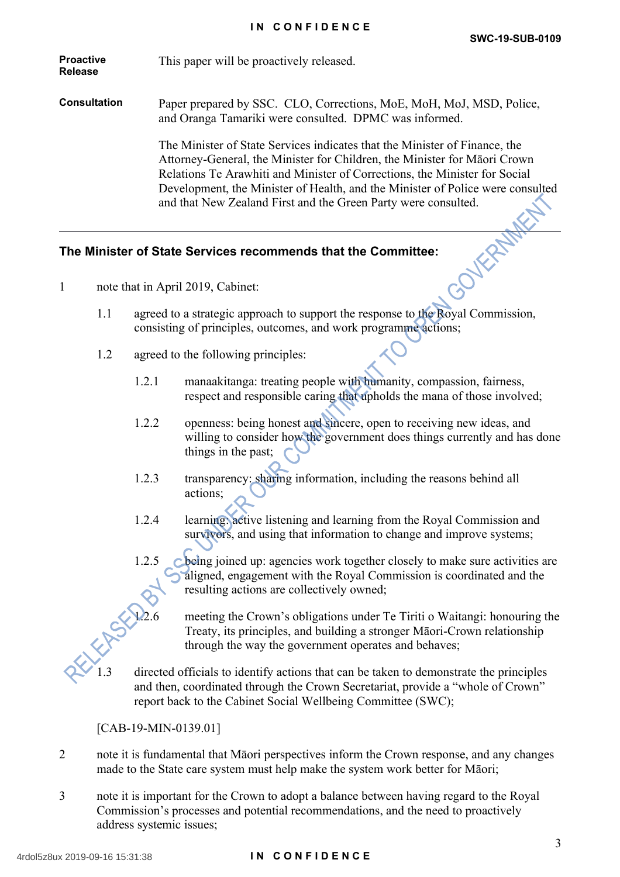| <b>Proactive</b><br><b>Release</b> | This paper will be proactively released.                                                                                                                                                                                                                                                                                                                                                  |
|------------------------------------|-------------------------------------------------------------------------------------------------------------------------------------------------------------------------------------------------------------------------------------------------------------------------------------------------------------------------------------------------------------------------------------------|
| <b>Consultation</b>                | Paper prepared by SSC. CLO, Corrections, MoE, MoH, MoJ, MSD, Police,<br>and Oranga Tamariki were consulted. DPMC was informed.                                                                                                                                                                                                                                                            |
|                                    | The Minister of State Services indicates that the Minister of Finance, the<br>Attorney-General, the Minister for Children, the Minister for Māori Crown<br>Relations Te Arawhiti and Minister of Corrections, the Minister for Social<br>Development, the Minister of Health, and the Minister of Police were consulted<br>and that New Zealand First and the Green Party were consulted. |
|                                    | The Minister of State Services recommends that the Committee:                                                                                                                                                                                                                                                                                                                             |
| 1                                  | note that in April 2019, Cabinet:                                                                                                                                                                                                                                                                                                                                                         |

#### **The Minister of State Services recommends that the Committee:**

- 1 note that in April 2019, Cabinet:
	- 1.1 agreed to a strategic approach to support the response to the Royal Commission, consisting of principles, outcomes, and work programme actions;
	- 1.2 agreed to the following principles:
		- 1.2.1 manaakitanga: treating people with humanity, compassion, fairness, respect and responsible caring that upholds the mana of those involved;
		- 1.2.2 openness: being honest and sincere, open to receiving new ideas, and willing to consider how the government does things currently and has done things in the past;
		- 1.2.3 transparency: sharing information, including the reasons behind all actions;
		- 1.2.4 learning: active listening and learning from the Royal Commission and survivors, and using that information to change and improve systems;
		- 1.2.5 being joined up: agencies work together closely to make sure activities are aligned, engagement with the Royal Commission is coordinated and the resulting actions are collectively owned;

meeting the Crown's obligations under Te Tiriti o Waitangi: honouring the Treaty, its principles, and building a stronger Māori-Crown relationship through the way the government operates and behaves;

1.3 directed officials to identify actions that can be taken to demonstrate the principles and then, coordinated through the Crown Secretariat, provide a "whole of Crown" report back to the Cabinet Social Wellbeing Committee (SWC);

[CAB-19-MIN-0139.01]

- 2 note it is fundamental that Māori perspectives inform the Crown response, and any changes made to the State care system must help make the system work better for Māori;
- 3 note it is important for the Crown to adopt a balance between having regard to the Royal Commission's processes and potential recommendations, and the need to proactively address systemic issues;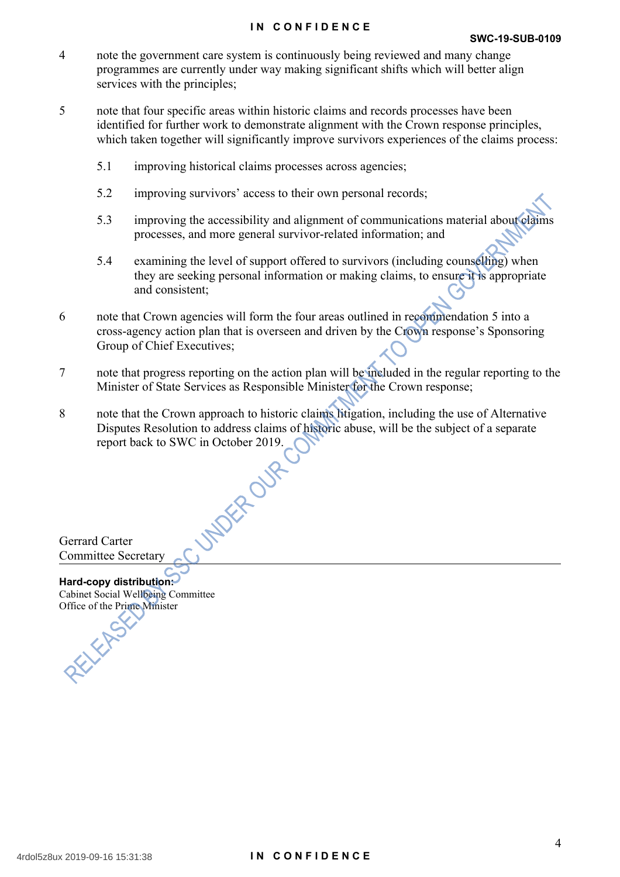- 4 note the government care system is continuously being reviewed and many change programmes are currently under way making significant shifts which will better align services with the principles;
- <span id="page-19-0"></span>5 note that four specific areas within historic claims and records processes have been identified for further work to demonstrate alignment with the Crown response principles, which taken together will significantly improve survivors experiences of the claims process:
	- 5.1 improving historical claims processes across agencies;
	- 5.2 improving survivors' access to their own personal records;
	- 5.3 improving the accessibility and alignment of communications material about claims processes, and more general survivor-related information; and
	- 5.4 examining the level of support offered to survivors (including counselling) when they are seeking personal information or making claims, to ensure it is appropriate and consistent;
- 6 note that Crown agencies will form the four areas outlined in recommendation [5](#page-19-0) into a cross-agency action plan that is overseen and driven by the Crown response's Sponsoring Group of Chief Executives;
- 7 note that progress reporting on the action plan will be included in the regular reporting to the Minister of State Services as Responsible Minister for the Crown response;
- 8 note that the Crown approach to historic claims litigation, including the use of Alternative Disputes Resolution to address claims of historic abuse, will be the subject of a separate report back to SWC in October 2019.

Gerrard Carter Committee Secretary

**Hard-copy distribution:** Cabinet Social Wellbeing Committee Office of the Prime Minister

4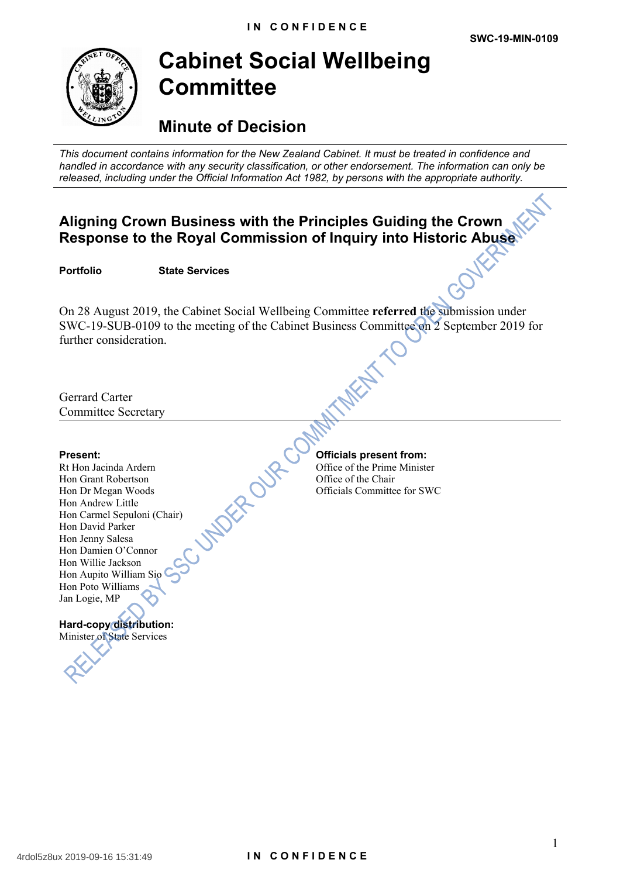

# **Cabinet Social Wellbeing Committee**

## **Minute of Decision**

*This document contains information for the New Zealand Cabinet. It must be treated in confidence and handled in accordance with any security classification, or other endorsement. The information can only be released, including under the Official Information Act 1982, by persons with the appropriate authority.*

#### **Aligning Crown Business with the Principles Guiding the Crown Response to the Royal Commission of Inquiry into Historic Abuse**

**Portfolio State Services**

On 28 August 2019, the Cabinet Social Wellbeing Committee **referred** the submission under SWC-19-SUB-0109 to the meeting of the Cabinet Business Committee on 2 September 2019 for further consideration.

Gerrard Carter Committee Secretary

**Present:**<br>
Rt Hon Jacinda Ardern<br>
Hon Grant Robertson<br>
Hon Dr Megan Woods<br>
Hon Andrew Little<br>
Hon Carmel Sepuloni (Chair)<br>
Hon David Parker<br>
Hon David Parker<br>
Hon David Parker<br>
Hon David Parker<br>
Hon David Parker<br>
Hon Davi Rt Hon Jacinda Ardern Hon Grant Robertson Hon Dr Megan Woods Hon Andrew Little Hon Carmel Sepuloni (Chair) Hon David Parker Hon Jenny Salesa Hon Damien O'Connor Hon Willie Jackson Hon Aupito William Sio Hon Poto Williams Jan Logie, MP

**Hard-copy distribution:** Minister of State Services

Office of the Prime Minister Office of the Chair Officials Committee for SWC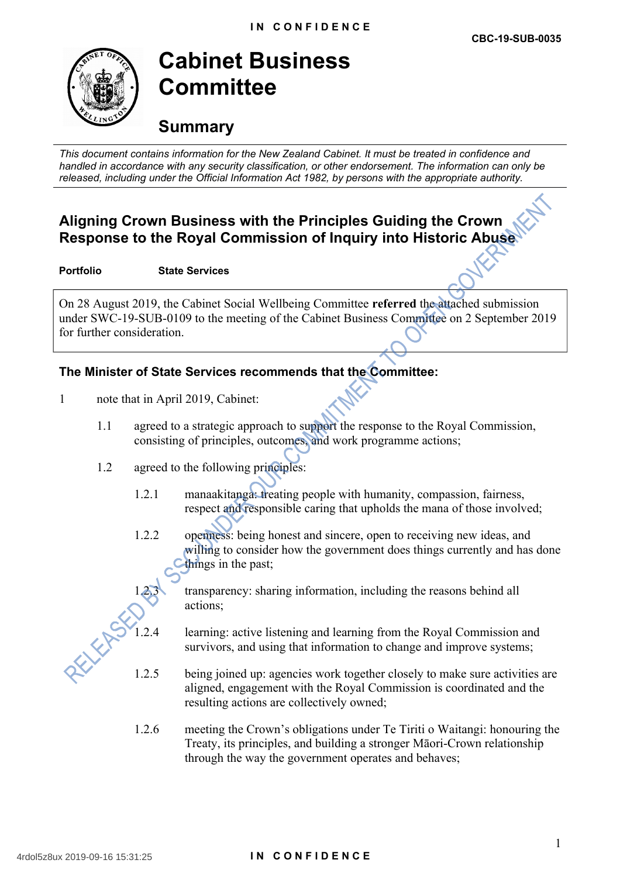

**Cabinet Business Committee**

## **Summary**

*This document contains information for the New Zealand Cabinet. It must be treated in confidence and handled in accordance with any security classification, or other endorsement. The information can only be released, including under the Official Information Act 1982, by persons with the appropriate authority.*

#### **Aligning Crown Business with the Principles Guiding the Crown Response to the Royal Commission of Inquiry into Historic Abuse**

**Portfolio State Services**

On 28 August 2019, the Cabinet Social Wellbeing Committee **referred** the attached submission under SWC-19-SUB-0109 to the meeting of the Cabinet Business Committee on 2 September 2019 for further consideration.

#### **The Minister of State Services recommends that the Committee:**

- 1 note that in April 2019, Cabinet:
	- 1.1 agreed to a strategic approach to support the response to the Royal Commission, consisting of principles, outcomes, and work programme actions;
	- 1.2 agreed to the following principles:
		- 1.2.1 manaakitanga: treating people with humanity, compassion, fairness, respect and responsible caring that upholds the mana of those involved;
		- 1.2.2 openness: being honest and sincere, open to receiving new ideas, and willing to consider how the government does things currently and has done  $Chings$  in the past;



transparency: sharing information, including the reasons behind all actions;

1.2.4 learning: active listening and learning from the Royal Commission and survivors, and using that information to change and improve systems;

1.2.5 being joined up: agencies work together closely to make sure activities are aligned, engagement with the Royal Commission is coordinated and the resulting actions are collectively owned;

1.2.6 meeting the Crown's obligations under Te Tiriti o Waitangi: honouring the Treaty, its principles, and building a stronger Māori-Crown relationship through the way the government operates and behaves;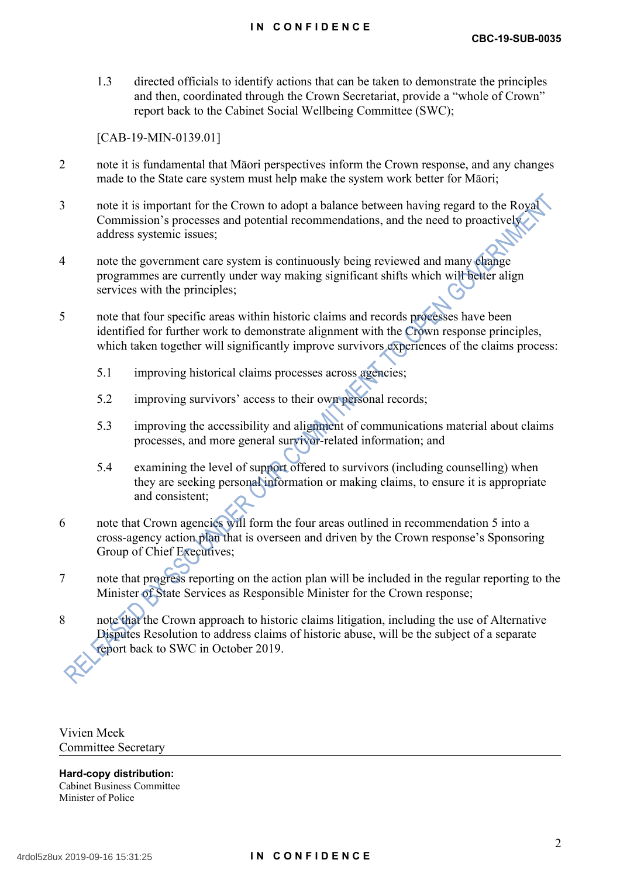1.3 directed officials to identify actions that can be taken to demonstrate the principles and then, coordinated through the Crown Secretariat, provide a "whole of Crown" report back to the Cabinet Social Wellbeing Committee (SWC);

[CAB-19-MIN-0139.01]

- 2 note it is fundamental that Māori perspectives inform the Crown response, and any changes made to the State care system must help make the system work better for Māori;
- 3 note it is important for the Crown to adopt a balance between having regard to the Royal Commission's processes and potential recommendations, and the need to proactively address systemic issues;
- 4 note the government care system is continuously being reviewed and many change programmes are currently under way making significant shifts which will better align services with the principles;
- <span id="page-22-0"></span>5 note that four specific areas within historic claims and records processes have been identified for further work to demonstrate alignment with the Crown response principles, which taken together will significantly improve survivors experiences of the claims process:
	- 5.1 improving historical claims processes across agencies;
	- 5.2 improving survivors' access to their own personal records;
	- 5.3 improving the accessibility and alignment of communications material about claims processes, and more general survivor-related information; and
	- 5.4 examining the level of support offered to survivors (including counselling) when they are seeking personal information or making claims, to ensure it is appropriate and consistent;
- 6 note that Crown agencies will form the four areas outlined in recommendation [5](#page-22-0) into a cross-agency action plan that is overseen and driven by the Crown response's Sponsoring Group of Chief Executives;
- 7 note that progress reporting on the action plan will be included in the regular reporting to the Minister of State Services as Responsible Minister for the Crown response;
- 8 note that the Crown approach to historic claims litigation, including the use of Alternative Disputes Resolution to address claims of historic abuse, will be the subject of a separate report back to SWC in October 2019.

Vivien Meek Committee Secretary

**Hard-copy distribution:** Cabinet Business Committee Minister of Police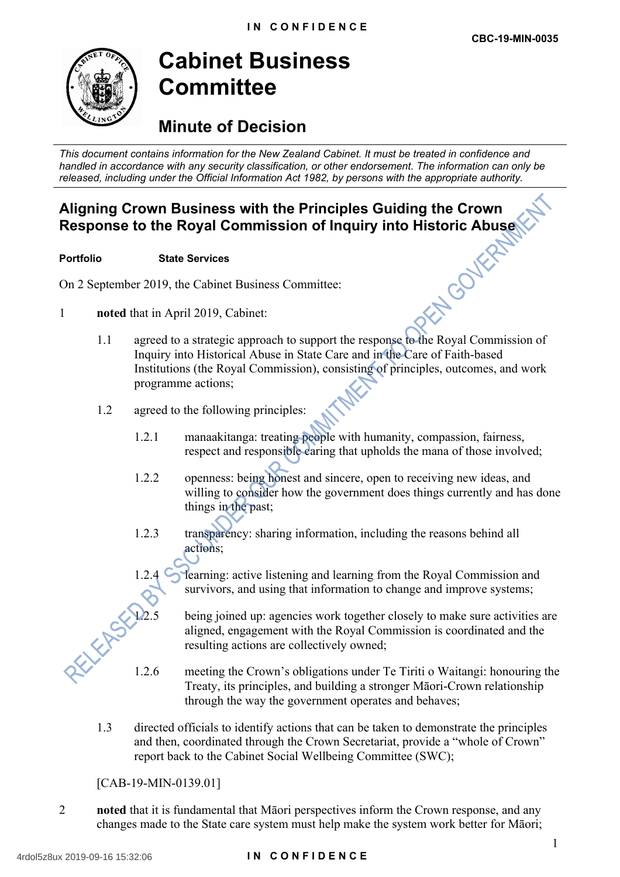

# **Cabinet Business Committee**

# **Minute of Decision**

*This document contains information for the New Zealand Cabinet. It must be treated in confidence and handled in accordance with any security classification, or other endorsement. The information can only be released, including under the Official Information Act 1982, by persons with the appropriate authority.*

# **Aligning Crown Business with the Principles Guiding the Crown Response to the Royal Commission of Inquiry into Historic Abuse**<br>Portfolio State Services<br>On 2 September 2019, the Cabinet Business Committee<br>**1** noted that in April 2011

#### **Portfolio State Services**

On 2 September 2019, the Cabinet Business Committee:

- 1 **noted** that in April 2019, Cabinet:
	- 1.1 agreed to a strategic approach to support the response to the Royal Commission of Inquiry into Historical Abuse in State Care and in the Care of Faith-based Institutions (the Royal Commission), consisting of principles, outcomes, and work programme actions;
	- 1.2 agreed to the following principles:
		- 1.2.1 manaakitanga: treating people with humanity, compassion, fairness, respect and responsible caring that upholds the mana of those involved;
		- 1.2.2 openness: being honest and sincere, open to receiving new ideas, and willing to consider how the government does things currently and has done things in the past;
		- 1.2.3 transparency: sharing information, including the reasons behind all actions;
		- Hearning: active listening and learning from the Royal Commission and survivors, and using that information to change and improve systems;

1.2.5 being joined up: agencies work together closely to make sure activities are aligned, engagement with the Royal Commission is coordinated resulting actions are collecting. aligned, engagement with the Royal Commission is coordinated and the resulting actions are collectively owned;

- 1.2.6 meeting the Crown's obligations under Te Tiriti o Waitangi: honouring the Treaty, its principles, and building a stronger Māori-Crown relationship through the way the government operates and behaves;
- 1.3 directed officials to identify actions that can be taken to demonstrate the principles and then, coordinated through the Crown Secretariat, provide a "whole of Crown" report back to the Cabinet Social Wellbeing Committee (SWC);

[CAB-19-MIN-0139.01]

2 **noted** that it is fundamental that Māori perspectives inform the Crown response, and any changes made to the State care system must help make the system work better for Māori;